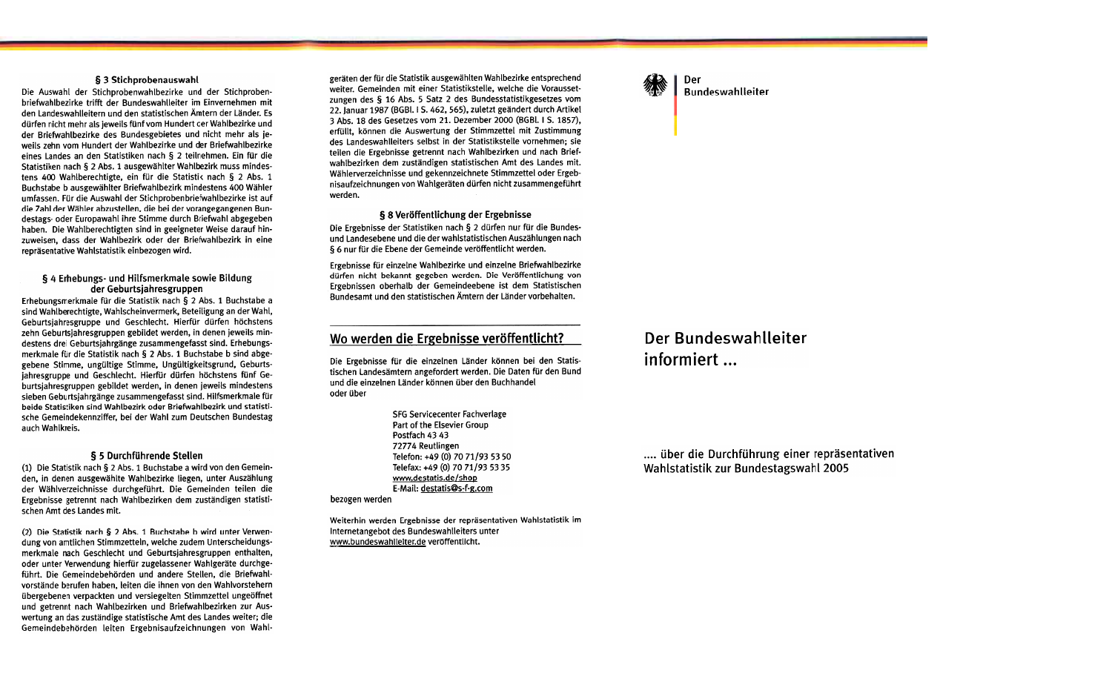## § 3 Stichprobenauswahl

Die Auswahl der Stichprobenwahlbezirke und der Stichprobenbriefwahlbezirke trifft der Bundeswahlleiter im Einvernehmen mit den Landeswahlleitern und den statistischen Ämtern der Länder. Es dürfen nicht mehr als jeweils fünf vom Hundert der Wahlbezirke und der Briefwahlbezirke des Bundesgebietes und nicht mehr als jeweils zehn vom Hundert der Wahlbezirke und der Briefwahlbezirke eines Landes an den Statistiken nach § 2 teilnehmen. Ein für die Statistiken nach § 2 Abs. 1 ausgewählter Wahlbezirk muss mindestens 400 Wahlberechtigte, ein für die Statistik nach § 2 Abs. 1 Buchstabe b ausgewählter Briefwahlbezirk mindestens 400 Wähler umfassen. Für die Auswahl der Stichprobenbriefwahlbezirke ist auf die Zahl der Wähler abzustellen, die bei der vorangegangenen Bundestags- oder Europawahl ihre Stimme durch Briefwahl abgegeben haben. Die Wahlberechtigten sind in geeigneter Weise darauf hinzuweisen, dass der Wahlbezirk oder der Briefwahlbezirk in eine repräsentative Wahlstatistik einbezogen wird.

## § 4 Erhebungs- und Hilfsmerkmale sowie Bildung der Geburtsiahresgruppen

Erhebungsmerkmale für die Statistik nach § 2 Abs. 1 Buchstabe a sind Wahlberechtigte, Wahlscheinvermerk, Beteiligung an der Wahl, Geburtsjahresgruppe und Geschlecht. Hierfür dürfen höchstens zehn Geburtsiahresgruppen gebildet werden, in denen jeweils mindestens drei Geburtsjahrgänge zusammengefasst sind. Erhebungsmerkmale für die Statistik nach § 2 Abs. 1 Buchstabe b sind abgegebene Stimme, ungültige Stimme, Ungültigkeitsgrund, Geburtsjahresgruppe und Geschlecht. Hierfür dürfen höchstens fünf Geburtsjahresgruppen gebildet werden, in denen jeweils mindestens sieben Geburtsjahrgänge zusammengefasst sind. Hilfsmerkmale für beide Statistiken sind Wahlbezirk oder Briefwahlbezirk und statistische Gemeindekennziffer, bei der Wahl zum Deutschen Bundestag auch Wahlkreis.

## § 5 Durchführende Stellen

(1) Die Statistik nach § 2 Abs. 1 Buchstabe a wird von den Gemeinden, in denen ausgewählte Wahlbezirke liegen, unter Auszählung der Wählverzeichnisse durchgeführt. Die Gemeinden teilen die Ergebnisse getrennt nach Wahlbezirken dem zuständigen statistischen Amt des Landes mit.

(2) Die Statistik nach § 2 Abs. 1 Buchstabe b wird unter Verwendung von amtlichen Stimmzetteln, welche zudem Unterscheidungsmerkmale nach Geschlecht und Geburtsjahresgruppen enthalten, oder unter Verwendung hierfür zugelassener Wahlgeräte durchgeführt. Die Gemeindebehörden und andere Stellen, die Briefwahlvorstände berufen haben, leiten die ihnen von den Wahlvorstehern übergebenen verpackten und versiegelten Stimmzettel ungeöffnet und getrennt nach Wahlbezirken und Briefwahlbezirken zur Auswertung an das zuständige statistische Amt des Landes weiter; die Gemeindebehörden leiten Ergebnisaufzeichnungen von Wahl-

geräten der für die Statistik ausgewählten Wahlbezirke entsprechend weiter. Gemeinden mit einer Statistikstelle, welche die Voraussetzungen des § 16 Abs. 5 Satz 2 des Bundesstatistikgesetzes vom 22. Januar 1987 (BGBI. I S. 462, 565), zuletzt geändert durch Artikel 3 Abs. 18 des Gesetzes vom 21. Dezember 2000 (BGBl. I S. 1857), erfüllt, können die Auswertung der Stimmzettel mit Zustimmung des Landeswahlleiters selbst in der Statistikstelle vornehmen; sie teilen die Ergebnisse getrennt nach Wahlbezirken und nach Briefwahlbezirken dem zuständigen statistischen Amt des Landes mit. Wählerverzeichnisse und gekennzeichnete Stimmzettel oder Ergebnisaufzeichnungen von Wahlgeräten dürfen nicht zusammengeführt werden.

#### § 8 Veröffentlichung der Ergebnisse

Die Ergebnisse der Statistiken nach § 2 dürfen nur für die Bundesund Landesebene und die der wahlstatistischen Auszählungen nach § 6 nur für die Ebene der Gemeinde veröffentlicht werden.

Ergebnisse für einzelne Wahlbezirke und einzelne Briefwahlbezirke dürfen nicht bekannt gegeben werden. Die Veröffentlichung von Ergebnissen oberhalb der Gemeindeebene ist dem Statistischen Bundesamt und den statistischen Ämtern der Länder vorbehalten.

# Wo werden die Ergebnisse veröffentlicht?

Die Ergebnisse für die einzelnen Länder können bei den Statistischen Landesämtern angefordert werden. Die Daten für den Bund und die einzelnen Länder können über den Buchhandel oder über

> **SFG Servicecenter Fachverlage** Part of the Elsevier Group Postfach 43 43 72774 Reutlingen Telefon: +49 (0) 70 71/93 53 50 Telefax: +49 (0) 70 71/93 53 35 www.destatis.de/shop E-Mail: destatis@s-f-g.com

bezogen werden.

Weiterhin werden Ergebnisse der repräsentativen Wahlstatistik im Internetangebot des Bundeswahlleiters unter www.bundeswahlleiter.de veröffentlicht.

Der **Bundeswahlleiter** 

# Der Bundeswahlleiter informiert ...

.... über die Durchführung einer repräsentativen Wahlstatistik zur Bundestagswahl 2005